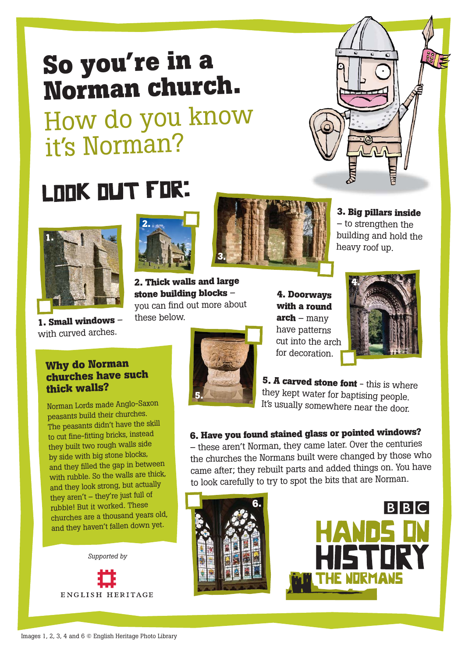## **So you're in <sup>a</sup> Norman church.**

How do you know it's Norman?

# LOOK OUT FOR:



**1. Small windows** – with curved arches.



**2. Thick walls and large stone building blocks** – you can find out more about these below.



**3. Big pillars inside** – to strengthen the building and hold the heavy roof up.



**4. Doorways with <sup>a</sup> round arch** – many have patterns cut into the arch for decoration.



**5. <sup>A</sup> carved stone font** - this is where they kept water for baptising people. It's usually somewhere near the door.

### **6. Have you found stained <sup>g</sup>lass or pointed windows?**

– these aren't Norman, they came later. Over the centuries the churches the Normans built were changed by those who came after; they rebuilt parts and added things on. You have to look carefully to try to spot the bits that are Norman.





**Why do Norman churches have such thick walls?**

Norman Lords made Anglo-Saxon peasants build their churches. The peasants didn't have the skill to cut fine-fitting bricks, instead they built two rough walls side by side with big stone blocks, and they filled the gap in between with rubble. So the walls are thick, and they look strong, but actually they aren't – they're just full of rubble! But it worked. These churches are <sup>a</sup> thousand years old, and they haven't fallen down yet.

*Supported by*ENGLISH HERITAGE